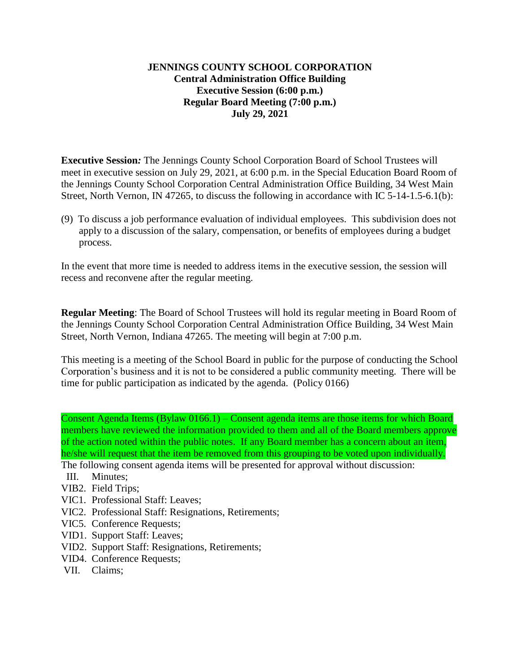## **JENNINGS COUNTY SCHOOL CORPORATION Central Administration Office Building Executive Session (6:00 p.m.) Regular Board Meeting (7:00 p.m.) July 29, 2021**

**Executive Session***:* The Jennings County School Corporation Board of School Trustees will meet in executive session on July 29, 2021, at 6:00 p.m. in the Special Education Board Room of the Jennings County School Corporation Central Administration Office Building, 34 West Main Street, North Vernon, IN 47265, to discuss the following in accordance with IC 5-14-1.5-6.1(b):

(9) To discuss a job performance evaluation of individual employees. This subdivision does not apply to a discussion of the salary, compensation, or benefits of employees during a budget process.

In the event that more time is needed to address items in the executive session, the session will recess and reconvene after the regular meeting.

**Regular Meeting**: The Board of School Trustees will hold its regular meeting in Board Room of the Jennings County School Corporation Central Administration Office Building, 34 West Main Street, North Vernon, Indiana 47265. The meeting will begin at 7:00 p.m.

This meeting is a meeting of the School Board in public for the purpose of conducting the School Corporation's business and it is not to be considered a public community meeting. There will be time for public participation as indicated by the agenda. (Policy 0166)

Consent Agenda Items (Bylaw 0166.1) – Consent agenda items are those items for which Board members have reviewed the information provided to them and all of the Board members approve of the action noted within the public notes. If any Board member has a concern about an item, he/she will request that the item be removed from this grouping to be voted upon individually.

- The following consent agenda items will be presented for approval without discussion:
- III. Minutes;
- VIB2. Field Trips;
- VIC1. Professional Staff: Leaves;
- VIC2. Professional Staff: Resignations, Retirements;
- VIC5. Conference Requests;
- VID1. Support Staff: Leaves;
- VID2. Support Staff: Resignations, Retirements;
- VID4. Conference Requests;
- VII. Claims;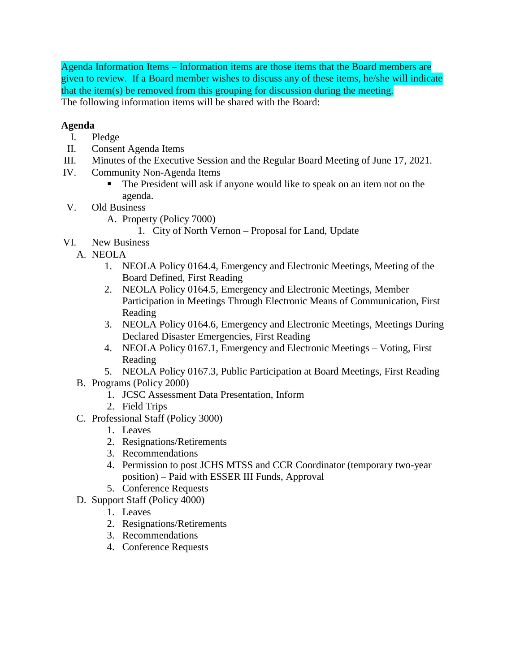Agenda Information Items – Information items are those items that the Board members are given to review. If a Board member wishes to discuss any of these items, he/she will indicate that the item(s) be removed from this grouping for discussion during the meeting. The following information items will be shared with the Board:

## **Agenda**

- I. Pledge
- II. Consent Agenda Items
- III. Minutes of the Executive Session and the Regular Board Meeting of June 17, 2021.
- IV. Community Non-Agenda Items
	- The President will ask if anyone would like to speak on an item not on the agenda.
- V. Old Business
	- A. Property (Policy 7000)
		- 1. City of North Vernon Proposal for Land, Update
- VI. New Business
	- A. NEOLA
		- 1. NEOLA Policy 0164.4, Emergency and Electronic Meetings, Meeting of the Board Defined, First Reading
		- 2. NEOLA Policy 0164.5, Emergency and Electronic Meetings, Member Participation in Meetings Through Electronic Means of Communication, First Reading
		- 3. NEOLA Policy 0164.6, Emergency and Electronic Meetings, Meetings During Declared Disaster Emergencies, First Reading
		- 4. NEOLA Policy 0167.1, Emergency and Electronic Meetings Voting, First Reading
		- 5. NEOLA Policy 0167.3, Public Participation at Board Meetings, First Reading
	- B. Programs (Policy 2000)
		- 1. JCSC Assessment Data Presentation, Inform
		- 2. Field Trips
	- C. Professional Staff (Policy 3000)
		- 1. Leaves
		- 2. Resignations/Retirements
		- 3. Recommendations
		- 4. Permission to post JCHS MTSS and CCR Coordinator (temporary two-year position) – Paid with ESSER III Funds, Approval
		- 5. Conference Requests
	- D. Support Staff (Policy 4000)
		- 1. Leaves
		- 2. Resignations/Retirements
		- 3. Recommendations
		- 4. Conference Requests